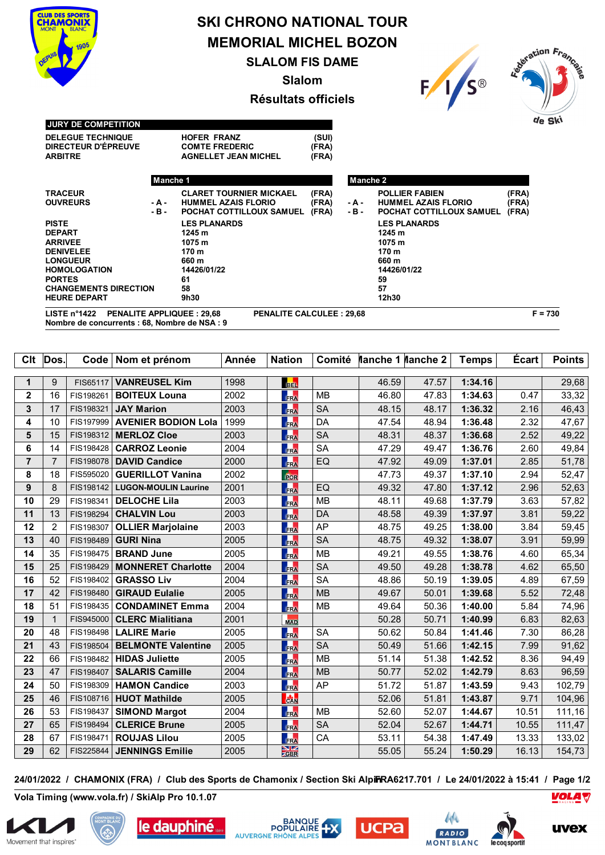

## **SKI CHRONO NATIONAL TOUR MEMORIAL MICHEL BOZON SLALOM FIS DAME**

**Slalom**





## **Résultats officiels**

| <b>JURY DE COMPETITION</b>   |          |                                |       |          |                            |       | AG Jk, |
|------------------------------|----------|--------------------------------|-------|----------|----------------------------|-------|--------|
| <b>DELEGUE TECHNIQUE</b>     |          | <b>HOFER FRANZ</b>             | (SUI) |          |                            |       |        |
| DIRECTEUR D'ÉPREUVE          |          | <b>COMTE FREDERIC</b>          | (FRA) |          |                            |       |        |
| <b>ARBITRE</b>               |          | <b>AGNELLET JEAN MICHEL</b>    | (FRA) |          |                            |       |        |
|                              | Manche 1 |                                |       | Manche 2 |                            |       |        |
| <b>TRACEUR</b>               |          | <b>CLARET TOURNIER MICKAEL</b> | (FRA) |          | <b>POLLIER FABIEN</b>      | (FRA) |        |
| <b>OUVREURS</b>              | - A -    | <b>HUMMEL AZAIS FLORIO</b>     | (FRA) | - A -    | <b>HUMMEL AZAIS FLORIO</b> | (FRA) |        |
|                              | - В -    | POCHAT COTTILLOUX SAMUEL       | (FRA) | - B -    | POCHAT COTTILLOUX SAMUEL   | (FRA) |        |
| <b>PISTE</b>                 |          | <b>LES PLANARDS</b>            |       |          | <b>LES PLANARDS</b>        |       |        |
| <b>DEPART</b>                |          | 1245 m                         |       |          | 1245 m                     |       |        |
| <b>ARRIVEE</b>               |          | 1075 m                         |       |          | 1075 m                     |       |        |
| <b>DENIVELEE</b>             |          | 170 m                          |       |          | 170 m                      |       |        |
| <b>LONGUEUR</b>              |          | 660 m                          |       |          | 660 m                      |       |        |
| <b>HOMOLOGATION</b>          |          | 14426/01/22                    |       |          | 14426/01/22                |       |        |
| <b>PORTES</b>                |          | 61                             |       |          | 59                         |       |        |
| <b>CHANGEMENTS DIRECTION</b> |          | 58                             |       |          | 57                         |       |        |
| <b>HEURE DEPART</b>          |          | 9h30                           |       |          | 12h30                      |       |        |

**Clt**  $\vert$  Dos. **Code Nom et prénom**  $\vert$  Année | Nation | Comité | Manche 1 | Manche 2 | Temps | Écart | Points

| 1              | 9              | FIS65117  | <b>VANREUSEL Kim</b>        | 1998 | <b>BEL</b>                    |           | 46.59 | 47.57 | 1:34.16 |       | 29,68  |
|----------------|----------------|-----------|-----------------------------|------|-------------------------------|-----------|-------|-------|---------|-------|--------|
| $\mathbf{2}$   | 16             | FIS198261 | <b>BOITEUX Louna</b>        | 2002 | <b>FRA</b>                    | <b>MB</b> | 46.80 | 47.83 | 1:34.63 | 0.47  | 33,32  |
| $\mathbf{3}$   | 17             | FIS198321 | <b>JAY Marion</b>           | 2003 | <b>FRA</b>                    | <b>SA</b> | 48.15 | 48.17 | 1:36.32 | 2.16  | 46,43  |
| 4              | 10             | FIS197999 | <b>AVENIER BODION Lola</b>  | 1999 | <b>FRA</b>                    | DA        | 47.54 | 48.94 | 1:36.48 | 2.32  | 47,67  |
| 5              | 15             | FIS198312 | <b>MERLOZ Cloe</b>          | 2003 | FRA                           | <b>SA</b> | 48.31 | 48.37 | 1:36.68 | 2.52  | 49,22  |
| 6              | 14             | FIS198428 | <b>CARROZ Leonie</b>        | 2004 | FRA                           | <b>SA</b> | 47.29 | 49.47 | 1:36.76 | 2.60  | 49,84  |
| $\overline{7}$ | $\overline{7}$ | FIS198078 | <b>DAVID Candice</b>        | 2000 | <b>FRA</b>                    | EQ        | 47.92 | 49.09 | 1:37.01 | 2.85  | 51,78  |
| 8              | 18             | FIS595020 | <b>GUERILLOT Vanina</b>     | 2002 | Por                           |           | 47.73 | 49.37 | 1:37.10 | 2.94  | 52,47  |
| 9              | 8              | FIS198142 | <b>LUGON-MOULIN Laurine</b> | 2001 | FRA                           | EQ        | 49.32 | 47.80 | 1:37.12 | 2.96  | 52,63  |
| 10             | 29             | FIS198341 | <b>DELOCHE Lila</b>         | 2003 | FRA                           | <b>MB</b> | 48.11 | 49.68 | 1:37.79 | 3.63  | 57,82  |
| 11             | 13             | FIS198294 | <b>CHALVIN Lou</b>          | 2003 | FRA                           | DA        | 48.58 | 49.39 | 1:37.97 | 3.81  | 59,22  |
| 12             | 2              | FIS198307 | <b>OLLIER Marjolaine</b>    | 2003 | FRA                           | AP        | 48.75 | 49.25 | 1:38.00 | 3.84  | 59,45  |
| 13             | 40             | FIS198489 | <b>GURI Nina</b>            | 2005 | FRA                           | <b>SA</b> | 48.75 | 49.32 | 1:38.07 | 3.91  | 59,99  |
| 14             | 35             | FIS198475 | <b>BRAND June</b>           | 2005 | <b>FRA</b>                    | <b>MB</b> | 49.21 | 49.55 | 1:38.76 | 4.60  | 65,34  |
| 15             | 25             | FIS198429 | <b>MONNERET Charlotte</b>   | 2004 | FRA                           | <b>SA</b> | 49.50 | 49.28 | 1:38.78 | 4.62  | 65,50  |
| 16             | 52             | FIS198402 | <b>GRASSO Liv</b>           | 2004 | <b>FRA</b>                    | <b>SA</b> | 48.86 | 50.19 | 1:39.05 | 4.89  | 67,59  |
| 17             | 42             | FIS198480 | <b>GIRAUD Eulalie</b>       | 2005 | <b>FRA</b>                    | <b>MB</b> | 49.67 | 50.01 | 1:39.68 | 5.52  | 72,48  |
| 18             | 51             | FIS198435 | <b>CONDAMINET Emma</b>      | 2004 | FRA                           | <b>MB</b> | 49.64 | 50.36 | 1:40.00 | 5.84  | 74,96  |
| 19             | 1              | FIS945000 | <b>CLERC Mialitiana</b>     | 2001 | <b>MAD</b>                    |           | 50.28 | 50.71 | 1:40.99 | 6.83  | 82,63  |
| 20             | 48             | FIS198498 | <b>LALIRE Marie</b>         | 2005 | <b>RA</b>                     | <b>SA</b> | 50.62 | 50.84 | 1:41.46 | 7.30  | 86,28  |
| 21             | 43             | FIS198504 | <b>BELMONTE Valentine</b>   | 2005 | FRA                           | <b>SA</b> | 50.49 | 51.66 | 1:42.15 | 7.99  | 91,62  |
| 22             | 66             |           | FIS198482 HIDAS Juliette    | 2005 | <b>FRA</b>                    | <b>MB</b> | 51.14 | 51.38 | 1:42.52 | 8.36  | 94,49  |
| 23             | 47             | FIS198407 | <b>SALARIS Camille</b>      | 2004 | FRA                           | <b>MB</b> | 50.77 | 52.02 | 1:42.79 | 8.63  | 96,59  |
| 24             | 50             | FIS198309 | <b>HAMON Candice</b>        | 2003 | <b>FRA</b>                    | AP        | 51.72 | 51.87 | 1:43.59 | 9.43  | 102,79 |
| 25             | 46             | FIS108716 | <b>HUOT Mathilde</b>        | 2005 | <b>CAN</b>                    |           | 52.06 | 51.81 | 1:43.87 | 9.71  | 104,96 |
| 26             | 53             | FIS198437 | <b>SIMOND Margot</b>        | 2004 | <b>FRA</b>                    | <b>MB</b> | 52.60 | 52.07 | 1:44.67 | 10.51 | 111,16 |
| 27             | 65             | FIS198494 | <b>CLERICE Brune</b>        | 2005 | FRA                           | <b>SA</b> | 52.04 | 52.67 | 1:44.71 | 10.55 | 111,47 |
| 28             | 67             | FIS198471 | <b>ROUJAS Lilou</b>         | 2005 | FRA                           | CA        | 53.11 | 54.38 | 1:47.49 | 13.33 | 133,02 |
| 29             | 62             | FIS225844 | <b>JENNINGS Emilie</b>      | 2005 | $\frac{\text{N}}{\text{CBR}}$ |           | 55.05 | 55.24 | 1:50.29 | 16.13 | 154,73 |

**24/01/2022 / CHAMONIX (FRA) / Club des Sports de Chamonix / Section Ski AlpinFRA6217.701 / Le 24/01/2022 à 15:41 / Page 1/2**

**Vola Timing (www.vola.fr) / SkiAlp Pro 10.1.07**















*VOLA V*